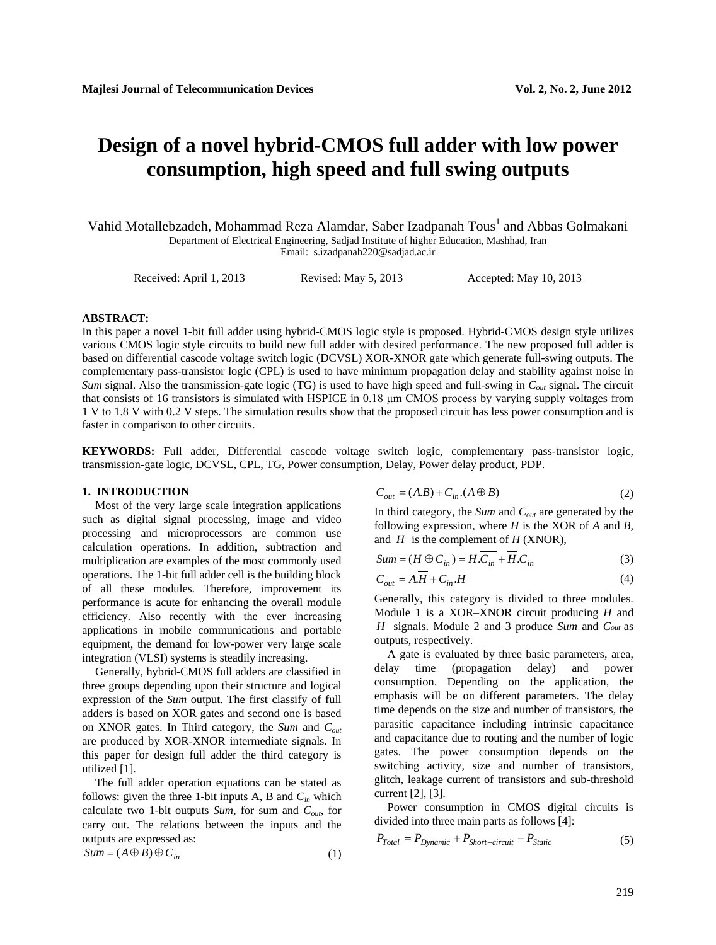# **Design of a novel hybrid-CMOS full adder with low power consumption, high speed and full swing outputs**

Vahid Motallebzadeh, Mohammad Reza Alamdar, Saber Izadpanah Tous<sup>1</sup> and Abbas Golmakani Department of Electrical Engineering, Sadjad Institute of higher Education, Mashhad, Iran Email[: s.izadpanah220@sadjad.ac.ir](mailto:second.author@hostname2.org)

Received: April 1, 2013 Revised: May 5, 2013 Accepted: May 10, 2013

# **ABSTRACT:**

In this paper a novel 1-bit full adder using hybrid-CMOS logic style is proposed. Hybrid-CMOS design style utilizes various CMOS logic style circuits to build new full adder with desired performance. The new proposed full adder is based on differential cascode voltage switch logic (DCVSL) XOR-XNOR gate which generate full-swing outputs. The complementary pass-transistor logic (CPL) is used to have minimum propagation delay and stability against noise in *Sum* signal. Also the transmission-gate logic (TG) is used to have high speed and full-swing in *Cout* signal. The circuit that consists of 16 transistors is simulated with HSPICE in 0.18 μm CMOS process by varying supply voltages from 1 V to 1.8 V with 0.2 V steps. The simulation results show that the proposed circuit has less power consumption and is faster in comparison to other circuits.

**KEYWORDS:** Full adder, Differential cascode voltage switch logic, complementary pass-transistor logic, transmission-gate logic, DCVSL, CPL, TG, Power consumption, Delay, Power delay product, PDP.

# **1. INTRODUCTION**

Most of the very large scale integration applications such as digital signal processing, image and video processing and microprocessors are common use calculation operations. In addition, subtraction and multiplication are examples of the most commonly used operations. The 1-bit full adder cell is the building block of all these modules. Therefore, improvement its performance is acute for enhancing the overall module efficiency. Also recently with the ever increasing applications in mobile communications and portable equipment, the demand for low-power very large scale integration (VLSI) systems is steadily increasing.

Generally, hybrid-CMOS full adders are classified in three groups depending upon their structure and logical expression of the *Sum* output. The first classify of full adders is based on XOR gates and second one is based on XNOR gates. In Third category, the *Sum* and *Cout* are produced by XOR-XNOR intermediate signals. In this paper for design full adder the third category is utilized [1].

The full adder operation equations can be stated as follows: given the three 1-bit inputs A, B and  $C_{in}$  which calculate two 1-bit outputs *Sum*, for sum and *Cout*, for carry out. The relations between the inputs and the outputs are expressed as:

$$
Sum = (A \oplus B) \oplus C_{in}
$$
 (1)

$$
C_{out} = (A.B) + C_{in}.(A \oplus B) \tag{2}
$$

In third category, the *Sum* and *Cout* are generated by the following expression, where *H* is the XOR of *A* and *B,*  and *H* is the complement of *H* (XNOR),

$$
Sum = (H \oplus C_{in}) = H.C_{in} + H.C_{in}
$$
\n(3)

$$
C_{out} = A.H + C_{in}.H
$$
\n<sup>(4)</sup>

Generally, this category is divided to three modules. Module 1 is a XOR–XNOR circuit producing *H* and *H* signals. Module 2 and 3 produce *Sum* and *Cout* as outputs, respectively.

A gate is evaluated by three basic parameters, area, delay time (propagation delay) and power consumption. Depending on the application, the emphasis will be on different parameters. The delay time depends on the size and number of transistors, the parasitic capacitance including intrinsic capacitance and capacitance due to routing and the number of logic gates. The power consumption depends on the switching activity, size and number of transistors, glitch, leakage current of transistors and sub-threshold current [2], [3].

Power consumption in CMOS digital circuits is divided into three main parts as follows [4]:

$$
P_{Total} = P_{Dynamic} + P_{Short-circuit} + P_{Static}
$$
 (5)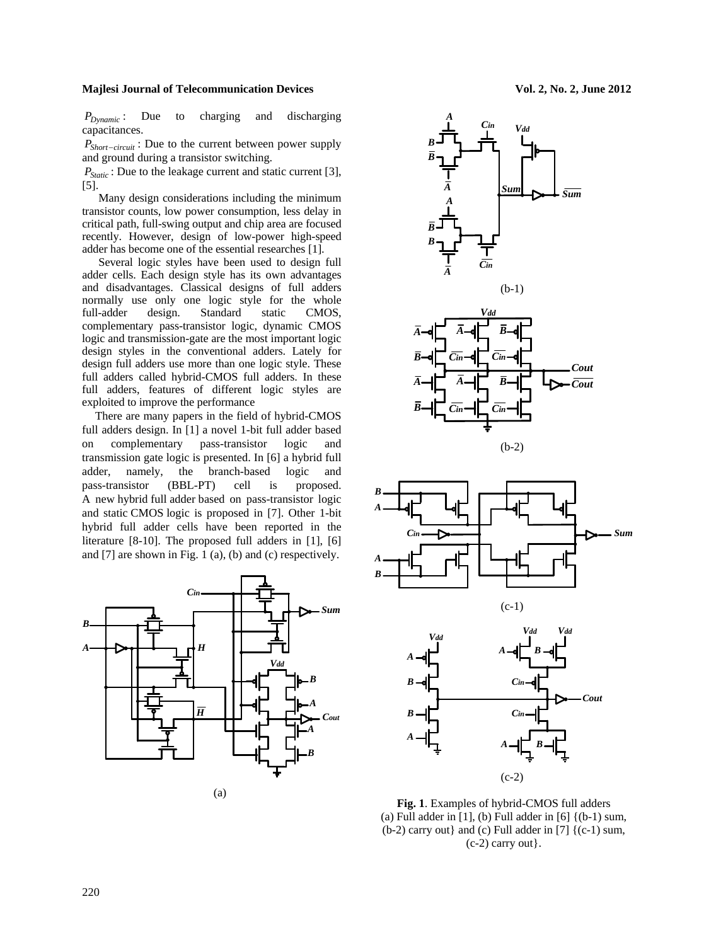*P<sub>Dynamic</sub>* : Due to charging and discharging capacitances.

*P<sub>Short−circuit</sub>* : Due to the current between power supply and ground during a transistor switching.

*P<sub>Static</sub>*: Due to the leakage current and static current [3], [5].

Many design considerations including the minimum transistor counts, low power consumption, less delay in critical path, full-swing output and chip area are focused recently. However, design of low-power high-speed adder has become one of the essential researches [1].

Several logic styles have been used to design full adder cells. Each design style has its own advantages and disadvantages. Classical designs of full adders normally use only one logic style for the whole<br>full-adder design. Standard static CMOS, Standard static complementary pass-transistor logic, dynamic CMOS logic and transmission-gate are the most important logic design styles in the conventional adders. Lately for design full adders use more than one logic style. These full adders called hybrid-CMOS full adders. In these full adders, features of different logic styles are exploited to improve the performance

There are many papers in the field of hybrid-CMOS full adders design. In [1] a novel 1-bit full adder based on complementary pass-transistor logic and transmission gate logic is presented. In [6] a hybrid full adder, namely, the branch-based logic and pass-transistor (BBL-PT) cell is proposed. A new hybrid full adder based on pass-transistor logic and static CMOS logic is proposed in [7]. Other 1-bit hybrid full adder cells have been reported in the literature [8-10]. The proposed full adders in [1], [6] and [7] are shown in Fig. 1 (a), (b) and (c) respectively.











*A*

*B*

*A*

*B*

**Fig. 1**. Examples of hybrid-CMOS full adders (a) Full adder in  $[1]$ , (b) Full adder in  $[6]$   $\{(b-1)$  sum,  $(b-2)$  carry out} and (c) Full adder in [7]  $\{(c-1)$  sum,  $(c-2)$  carry out}.

(c-2)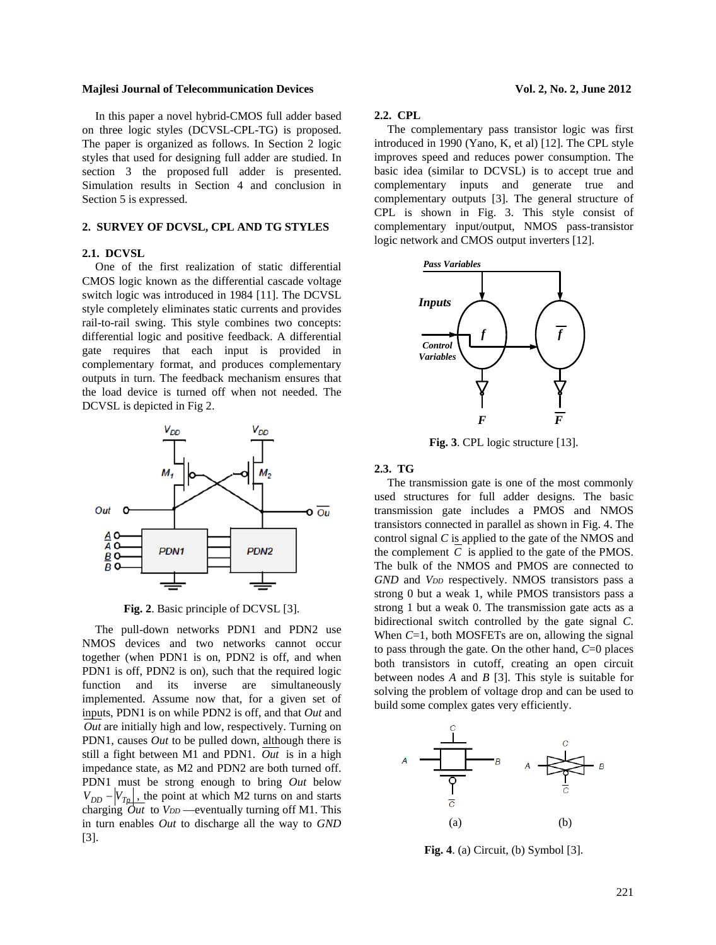In this paper a novel hybrid-CMOS full adder based on three logic styles (DCVSL-CPL-TG) is proposed. The paper is organized as follows. In Section 2 logic styles that used for designing full adder are studied. In section 3 the proposed full adder is presented. Simulation results in Section 4 and conclusion in Section 5 is expressed.

# **2. SURVEY OF DCVSL, CPL AND TG STYLES**

# **2.1. DCVSL**

One of the first realization of static differential CMOS logic known as the differential cascade voltage switch logic was introduced in 1984 [11]. The DCVSL style completely eliminates static currents and provides rail-to-rail swing. This style combines two concepts: differential logic and positive feedback. A differential gate requires that each input is provided in complementary format, and produces complementary outputs in turn. The feedback mechanism ensures that the load device is turned off when not needed. The DCVSL is depicted in Fig 2.



**Fig. 2**. Basic principle of DCVSL [3].

The pull-down networks PDN1 and PDN2 use NMOS devices and two networks cannot occur together (when PDN1 is on, PDN2 is off, and when PDN1 is off, PDN2 is on), such that the required logic function and its inverse are simultaneously implemented. Assume now that, for a given set of inputs, PDN1 is on while PDN2 is off, and that *Out* and *Out* are initially high and low, respectively. Turning on PDN1, causes *Out* to be pulled down, although there is still a fight between M1 and PDN1. *Out* is in a high impedance state, as M2 and PDN2 are both turned off. PDN1 must be strong enough to bring *Out* below  $V_{DD} - |V_{Tp}|$ , the point at which M2 turns on and starts charging  $\partial ut$  to  $V_{DD}$  —eventually turning off M1. This in turn enables *Out* to discharge all the way to *GND*  [3].

# **2.2. CPL**

The complementary pass transistor logic was first introduced in 1990 (Yano, K, et al) [12]. The CPL style improves speed and reduces power consumption. The basic idea (similar to DCVSL) is to accept true and complementary inputs and generate true and complementary outputs [3]. The general structure of CPL is shown in Fig. 3. This style consist of complementary input/output, NMOS pass-transistor logic network and CMOS output inverters [12].



**Fig. 3**. CPL logic structure [13].

# **2.3. TG**

The transmission gate is one of the most commonly used structures for full adder designs. The basic transmission gate includes a PMOS and NMOS transistors connected in parallel as shown in Fig. 4. The control signal *C* is applied to the gate of the NMOS and the complement  $C$  is applied to the gate of the PMOS. The bulk of the NMOS and PMOS are connected to GND and *V<sub>DD</sub>* respectively. NMOS transistors pass a strong 0 but a weak 1, while PMOS transistors pass a strong 1 but a weak 0. The transmission gate acts as a bidirectional switch controlled by the gate signal *C*. When *C*=1, both MOSFETs are on, allowing the signal to pass through the gate. On the other hand, *C*=0 places both transistors in cutoff, creating an open circuit between nodes *A* and *B* [3]. This style is suitable for solving the problem of voltage drop and can be used to build some complex gates very efficiently.



**Fig. 4**. (a) Circuit, (b) Symbol [3].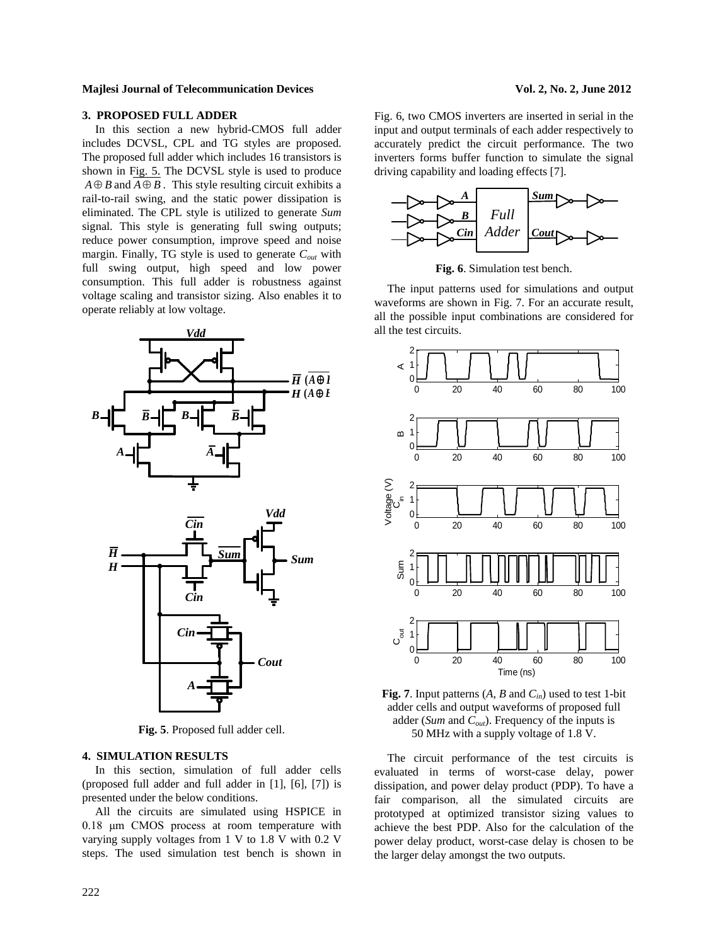## **3. PROPOSED FULL ADDER**

In this section a new hybrid-CMOS full adder includes DCVSL, CPL and TG styles are proposed. The proposed full adder which includes 16 transistors is shown in Fig. 5. The DCVSL style is used to produce  $A \oplus B$  and  $A \oplus B$ . This style resulting circuit exhibits a rail-to-rail swing, and the static power dissipation is eliminated. The CPL style is utilized to generate *Sum* signal. This style is generating full swing outputs; reduce power consumption, improve speed and noise margin. Finally, TG style is used to generate *Cout* with full swing output, high speed and low power consumption. This full adder is robustness against voltage scaling and transistor sizing. Also enables it to operate reliably at low voltage.



**Fig. 5**. Proposed full adder cell.

# **4. SIMULATION RESULTS**

In this section, simulation of full adder cells (proposed full adder and full adder in [1], [6], [7]) is presented under the below conditions.

All the circuits are simulated using HSPICE in 0.18 μm CMOS process at room temperature with varying supply voltages from 1 V to 1.8 V with 0.2 V steps. The used simulation test bench is shown in

Fig. 6, two CMOS inverters are inserted in serial in the input and output terminals of each adder respectively to accurately predict the circuit performance. The two inverters forms buffer function to simulate the signal driving capability and loading effects [7].



**Fig. 6**. Simulation test bench.

The input patterns used for simulations and output waveforms are shown in Fig. 7. For an accurate result, all the possible input combinations are considered for all the test circuits.



**Fig. 7**. Input patterns  $(A, B \text{ and } C_{in})$  used to test 1-bit adder cells and output waveforms of proposed full adder (*Sum* and *Cout*). Frequency of the inputs is 50 MHz with a supply voltage of 1.8 V.

The circuit performance of the test circuits is evaluated in terms of worst-case delay, power dissipation, and power delay product (PDP). To have a fair comparison, all the simulated circuits are prototyped at optimized transistor sizing values to achieve the best PDP. Also for the calculation of the power delay product, worst-case delay is chosen to be the larger delay amongst the two outputs.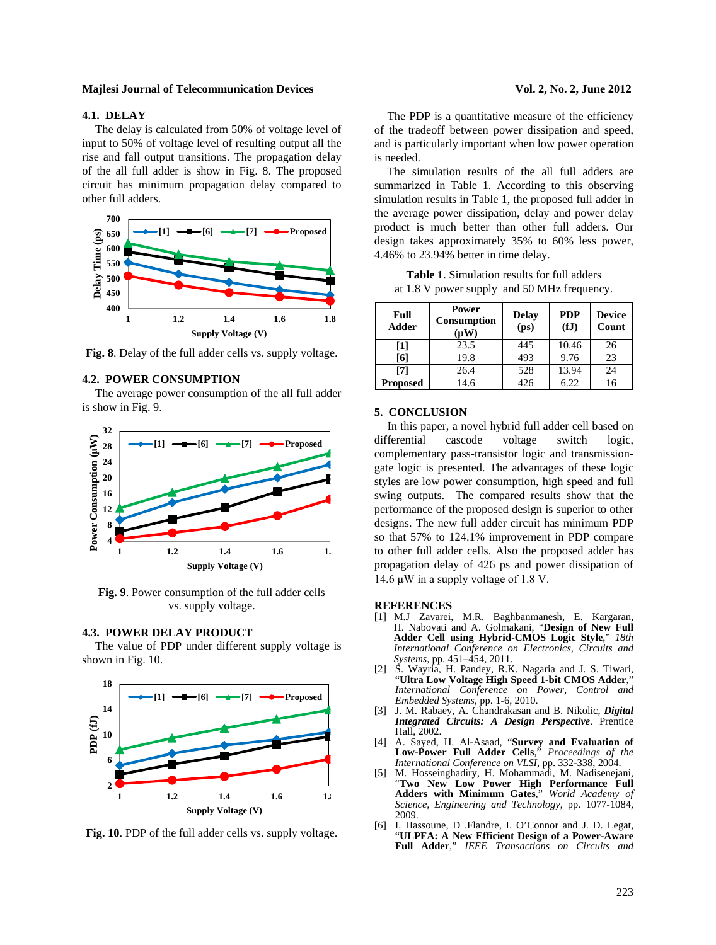# **4.1. DELAY**

The delay is calculated from 50% of voltage level of input to 50% of voltage level of resulting output all the rise and fall output transitions. The propagation delay of the all full adder is show in Fig. 8. The proposed circuit has minimum propagation delay compared to other full adders.



**Fig. 8**. Delay of the full adder cells vs. supply voltage.

# **4.2. POWER CONSUMPTION**

The average power consumption of the all full adder is show in Fig. 9.



**Fig. 9**. Power consumption of the full adder cells vs. supply voltage.

# **4.3. POWER DELAY PRODUCT**

The value of PDP under different supply voltage is shown in Fig. 10.



**Fig. 10**. PDP of the full adder cells vs. supply voltage.

The PDP is a quantitative measure of the efficiency of the tradeoff between power dissipation and speed, and is particularly important when low power operation is needed.

The simulation results of the all full adders are summarized in Table 1. According to this observing simulation results in Table 1, the proposed full adder in the average power dissipation, delay and power delay product is much better than other full adders. Our design takes approximately 35% to 60% less power, 4.46% to 23.94% better in time delay.

**Table 1**. Simulation results for full adders at 1.8 V power supply and 50 MHz frequency.

| Full<br>Adder   | Power<br>Consumption<br>(µ ${\bf W}$ | <b>Delay</b><br>(p <sub>S</sub> ) | <b>PDP</b><br>(fJ) | <b>Device</b><br>Count |
|-----------------|--------------------------------------|-----------------------------------|--------------------|------------------------|
| [1]             | 23.5                                 | 445                               | 10.46              | 26                     |
| [6]             | 19.8                                 | 493                               | 9.76               | 23                     |
| [7]             | 26.4                                 | 528                               | 13.94              | 24                     |
| <b>Proposed</b> | 14.6                                 | 426                               | 6.22               | 16                     |

#### **5. CONCLUSION**

In this paper, a novel hybrid full adder cell based on differential cascode voltage switch logic, complementary pass-transistor logic and transmissiongate logic is presented. The advantages of these logic styles are low power consumption, high speed and full swing outputs. The compared results show that the performance of the proposed design is superior to other designs. The new full adder circuit has minimum PDP so that 57% to 124.1% improvement in PDP compare to other full adder cells. Also the proposed adder has propagation delay of 426 ps and power dissipation of 14.6 μW in a supply voltage of 1.8 V.

#### **REFERENCES**

- [1] M.J Zavarei, M.R. Baghbanmanesh, E. Kargaran, H. Nabovati and A. Golmakani, "**Design of New Full Adder Cell using Hybrid-CMOS Logic Style**," *18th International Conference on Electronics, Circuits and*
- *Systems*, pp. 451–454, 2011. [2] S. Wayria, H. Pandey, R.K. Nagaria and J. S. Tiwari, "**Ultra Low Voltage High Speed 1-bit CMOS Adder**," *International Conference on Power, Control and Embedded Systems*, pp. 1-6, 2010.
- [3] J. M. Rabaey, A. Chandrakasan and B. Nikolic, *Digital Integrated Circuits: A Design Perspective*. Prentice Hall, 2002.
- [4] A. Sayed, H. Al-Asaad, "**Survey and Evaluation of Low-Power Full Adder Cells**," *Proceedings of the International Conference on VLSI*, pp. 332-338, 2004.
- [5] M. Hosseinghadiry, H. Mohammadi, M. Nadisenejani, "**Two New Low Power High Performance Full Adders with Minimum Gates**," *World Academy of Science, Engineering and Technology*, pp. 1077-1084, 2009.
- [6] I. Hassoune, D .Flandre, I. O'Connor and J. D. Legat, "**ULPFA: A New Efficient Design of a Power-Aware Full Adder**," *IEEE Transactions on Circuits and*